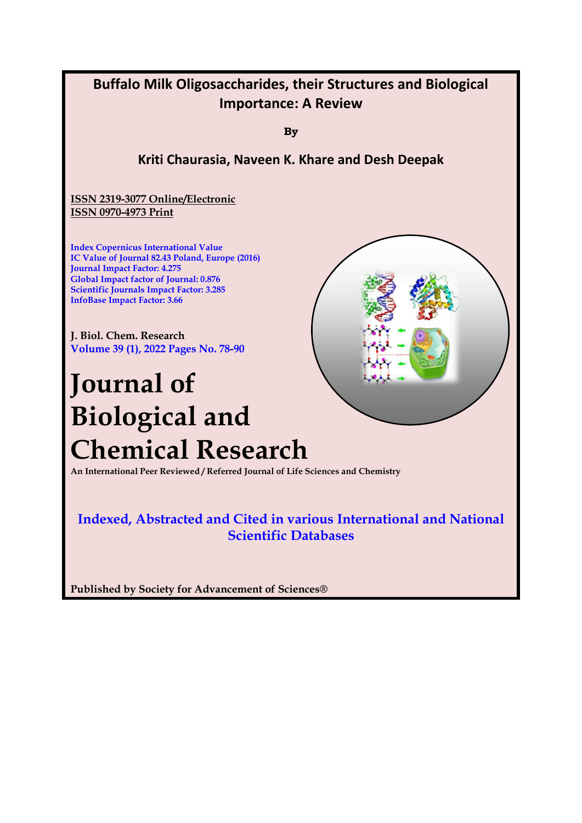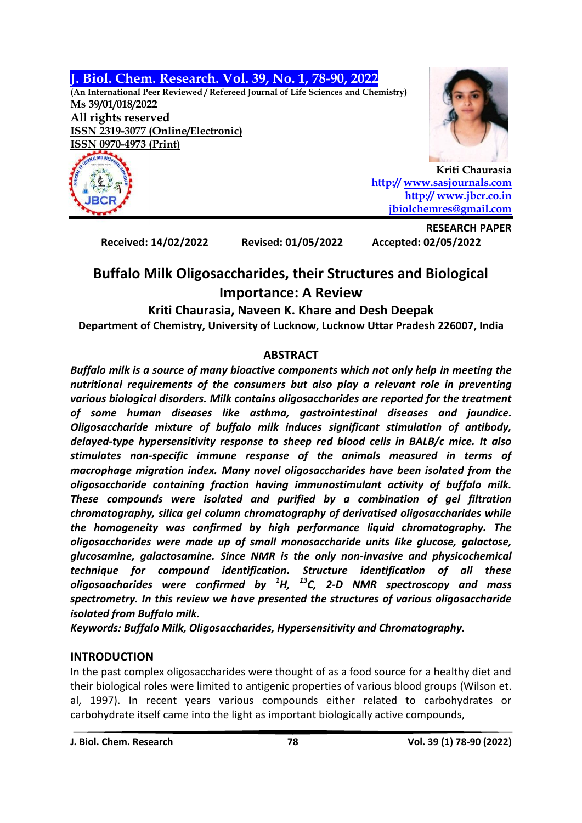**J. Biol. Chem. Research. Vol. 39, No. 1, 78-90, 2022**

**(An International Peer Reviewed / Refereed Journal of Life Sciences and Chemistry) Ms 39/01/018/2022 All rights reserved ISSN 2319-3077 (Online/Electronic)**







**Kriti Chaurasia http:// [www.sasjournals.com](http://www.sasjournals.com/) http:// [www.jbcr.co.in](http://www.jbcr.co.in/) [jbiolchemres@gmail.com](mailto:jbiolchemres@gmail.com)**

**Received: 14/02/2022 Revised: 01/05/2022 Accepted: 02/05/2022**

**RESEARCH PAPER**

# **Buffalo Milk Oligosaccharides, their Structures and Biological Importance: A Review**

#### **Kriti Chaurasia, Naveen K. Khare and Desh Deepak Department of Chemistry, University of Lucknow, Lucknow Uttar Pradesh 226007, India**

## **ABSTRACT**

*Buffalo milk is a source of many bioactive components which not only help in meeting the nutritional requirements of the consumers but also play a relevant role in preventing various biological disorders. Milk contains oligosaccharides are reported for the treatment of some human diseases like asthma, gastrointestinal diseases and jaundice. Oligosaccharide mixture of buffalo milk induces significant stimulation of antibody, delayed-type hypersensitivity response to sheep red blood cells in BALB/c mice. It also stimulates non-specific immune response of the animals measured in terms of macrophage migration index. Many novel oligosaccharides have been isolated from the oligosaccharide containing fraction having immunostimulant activity of buffalo milk. These compounds were isolated and purified by a combination of gel filtration chromatography, silica gel column chromatography of derivatised oligosaccharides while the homogeneity was confirmed by high performance liquid chromatography. The oligosaccharides were made up of small monosaccharide units like glucose, galactose, glucosamine, galactosamine. Since NMR is the only non-invasive and physicochemical technique for compound identification. Structure identification of all these oligosaacharides were confirmed by <sup>1</sup>H, <sup>13</sup>C, 2-D NMR spectroscopy and mass spectrometry. In this review we have presented the structures of various oligosaccharide isolated from Buffalo milk.*

*Keywords: Buffalo Milk, Oligosaccharides, Hypersensitivity and Chromatography.*

## **INTRODUCTION**

In the past complex oligosaccharides were thought of as a food source for a healthy diet and their biological roles were limited to antigenic properties of various blood groups (Wilson et. al, 1997). In recent years various compounds either related to carbohydrates or carbohydrate itself came into the light as important biologically active compounds,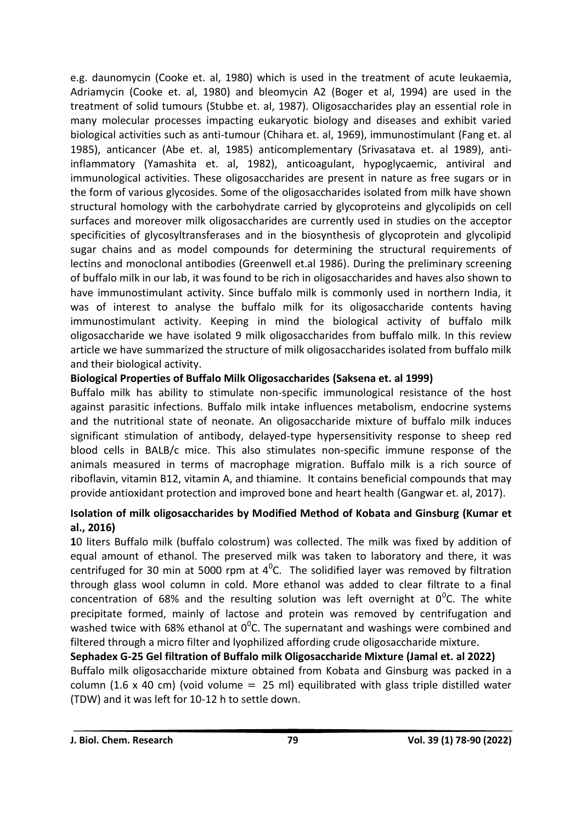e.g. daunomycin (Cooke et. al, 1980) which is used in the treatment of acute leukaemia, Adriamycin (Cooke et. al, 1980) and bleomycin A2 (Boger et al, 1994) are used in the treatment of solid tumours (Stubbe et. al, 1987). Oligosaccharides play an essential role in many molecular processes impacting eukaryotic biology and diseases and exhibit varied biological activities such as anti-tumour (Chihara et. al, 1969), immunostimulant (Fang et. al 1985), anticancer (Abe et. al, 1985) anticomplementary (Srivasatava et. al 1989), antiinflammatory (Yamashita et. al, 1982), anticoagulant, hypoglycaemic, antiviral and immunological activities. These oligosaccharides are present in nature as free sugars or in the form of various glycosides. Some of the oligosaccharides isolated from milk have shown structural homology with the carbohydrate carried by glycoproteins and glycolipids on cell surfaces and moreover milk oligosaccharides are currently used in studies on the acceptor specificities of glycosyltransferases and in the biosynthesis of glycoprotein and glycolipid sugar chains and as model compounds for determining the structural requirements of lectins and monoclonal antibodies (Greenwell et.al 1986). During the preliminary screening of buffalo milk in our lab, it was found to be rich in oligosaccharides and haves also shown to have immunostimulant activity. Since buffalo milk is commonly used in northern India, it was of interest to analyse the buffalo milk for its oligosaccharide contents having immunostimulant activity. Keeping in mind the biological activity of buffalo milk oligosaccharide we have isolated 9 milk oligosaccharides from buffalo milk. In this review article we have summarized the structure of milk oligosaccharides isolated from buffalo milk and their biological activity.

#### **Biological Properties of Buffalo Milk Oligosaccharides (Saksena et. al 1999)**

Buffalo milk has ability to stimulate non-specific immunological resistance of the host against parasitic infections. Buffalo milk intake influences metabolism, endocrine systems and the nutritional state of neonate. An oligosaccharide mixture of buffalo milk induces significant stimulation of antibody, delayed-type hypersensitivity response to sheep red blood cells in BALB/c mice. This also stimulates non-specific immune response of the animals measured in terms of macrophage migration. Buffalo milk is a rich source of riboflavin, vitamin B12, vitamin A, and thiamine. It contains beneficial compounds that may provide antioxidant protection and improved bone and heart health (Gangwar et. al, 2017).

### **Isolation of milk oligosaccharides by Modified Method of Kobata and Ginsburg (Kumar et al., 2016)**

**1**0 liters Buffalo milk (buffalo colostrum) was collected. The milk was fixed by addition of equal amount of ethanol. The preserved milk was taken to laboratory and there, it was centrifuged for 30 min at 5000 rpm at  $4^0$ C. The solidified layer was removed by filtration through glass wool column in cold. More ethanol was added to clear filtrate to a final concentration of 68% and the resulting solution was left overnight at  $0^0$ C. The white precipitate formed, mainly of lactose and protein was removed by centrifugation and washed twice with 68% ethanol at  $0^0$ C. The supernatant and washings were combined and filtered through a micro filter and lyophilized affording crude oligosaccharide mixture.

**Sephadex G-25 Gel filtration of Buffalo milk Oligosaccharide Mixture (Jamal et. al 2022)** Buffalo milk oligosaccharide mixture obtained from Kobata and Ginsburg was packed in a column (1.6 x 40 cm) (void volume  $=$  25 ml) equilibrated with glass triple distilled water (TDW) and it was left for 10-12 h to settle down.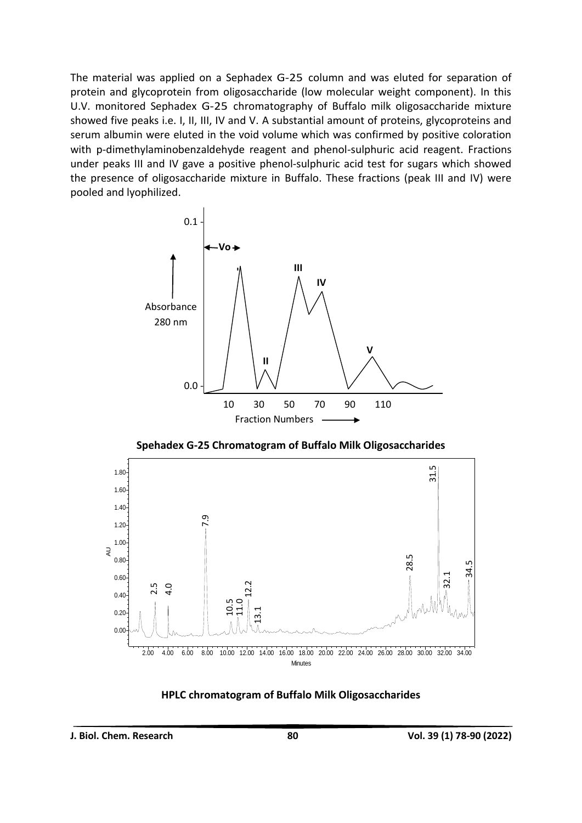The material was applied on a Sephadex G-25 column and was eluted for separation of protein and glycoprotein from oligosaccharide (low molecular weight component). In this U.V. monitored Sephadex G-25 chromatography of Buffalo milk oligosaccharide mixture showed five peaks i.e. I, II, III, IV and V. A substantial amount of proteins, glycoproteins and serum albumin were eluted in the void volume which was confirmed by positive coloration with p-dimethylaminobenzaldehyde reagent and phenol-sulphuric acid reagent. Fractions under peaks III and IV gave a positive phenol-sulphuric acid test for sugars which showed the presence of oligosaccharide mixture in Buffalo. These fractions (peak III and IV) were pooled and lyophilized.



**Spehadex G-25 Chromatogram of Buffalo Milk Oligosaccharides**



**HPLC chromatogram of Buffalo Milk Oligosaccharides**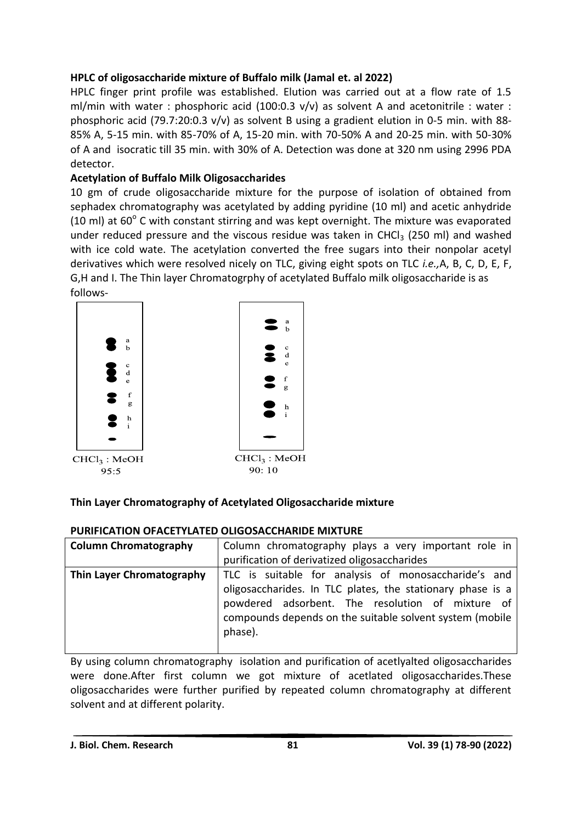## **HPLC of oligosaccharide mixture of Buffalo milk (Jamal et. al 2022)**

HPLC finger print profile was established. Elution was carried out at a flow rate of 1.5 ml/min with water : phosphoric acid (100:0.3 v/v) as solvent A and acetonitrile : water : phosphoric acid (79.7:20:0.3 v/v) as solvent B using a gradient elution in 0-5 min. with 88- 85% A, 5-15 min. with 85-70% of A, 15-20 min. with 70-50% A and 20-25 min. with 50-30% of A and isocratic till 35 min. with 30% of A. Detection was done at 320 nm using 2996 PDA detector.

## **Acetylation of Buffalo Milk Oligosaccharides**

10 gm of crude oligosaccharide mixture for the purpose of isolation of obtained from sephadex chromatography was acetylated by adding pyridine (10 ml) and acetic anhydride (10 ml) at  $60^{\circ}$  C with constant stirring and was kept overnight. The mixture was evaporated under reduced pressure and the viscous residue was taken in CHCl<sub>3</sub> (250 ml) and washed with ice cold wate. The acetylation converted the free sugars into their nonpolar acetyl derivatives which were resolved nicely on TLC, giving eight spots on TLC *i.e.,*A, B, C, D, E, F, G,H and I. The Thin layer Chromatogrphy of acetylated Buffalo milk oligosaccharide is as follows-



## **Thin Layer Chromatography of Acetylated Oligosaccharide mixture**

### **PURIFICATION OFACETYLATED OLIGOSACCHARIDE MIXTURE**

| <b>Column Chromatography</b> | Column chromatography plays a very important role in<br>purification of derivatized oligosaccharides                                                                                                                                          |
|------------------------------|-----------------------------------------------------------------------------------------------------------------------------------------------------------------------------------------------------------------------------------------------|
| Thin Layer Chromatography    | TLC is suitable for analysis of monosaccharide's and<br>oligosaccharides. In TLC plates, the stationary phase is a<br>powdered adsorbent. The resolution of mixture of<br>compounds depends on the suitable solvent system (mobile<br>phase). |

By using column chromatography isolation and purification of acetlyalted oligosaccharides were done.After first column we got mixture of acetlated oligosaccharides.These oligosaccharides were further purified by repeated column chromatography at different solvent and at different polarity.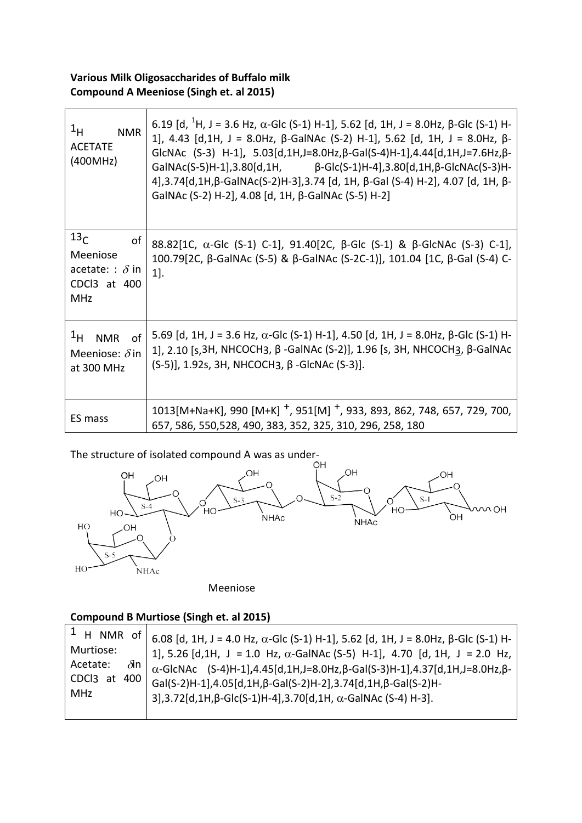### **Various Milk Oligosaccharides of Buffalo milk Compound A Meeniose (Singh et. al 2015)**

| $1_H$<br><b>NMR</b><br><b>ACETATE</b><br>(400MHz)                                         | 6.19 [d, <sup>1</sup> H, J = 3.6 Hz, α-Glc (S-1) H-1], 5.62 [d, 1H, J = 8.0Hz, β-Glc (S-1) H-<br>1], 4.43 [d,1H, J = 8.0Hz, β-GalNAc (S-2) H-1], 5.62 [d, 1H, J = 8.0Hz, β-<br>GICNAC $(S-3)$ H-1], $5.03[d,1H,J=8.0Hz,\beta-Gal(S-4)H-1]$ , 4.44 $[d,1H,J=7.6Hz,\beta-$<br>GalNAc(S-5)H-1],3.80[d,1H, $\beta$ -Glc(S-1)H-4],3.80[d,1H, $\beta$ -GlcNAc(S-3)H-<br>4], 3.74[d, 1H, β-GalNAc(S-2)H-3], 3.74 [d, 1H, β-Gal (S-4) H-2], 4.07 [d, 1H, β-<br>GalNAc (S-2) H-2], 4.08 [d, 1H, β-GalNAc (S-5) H-2] |
|-------------------------------------------------------------------------------------------|------------------------------------------------------------------------------------------------------------------------------------------------------------------------------------------------------------------------------------------------------------------------------------------------------------------------------------------------------------------------------------------------------------------------------------------------------------------------------------------------------------|
| 13 <sub>C</sub><br>οf<br>Meeniose<br>acetate: : $\delta$ in<br>CDCl3 at 400<br><b>MHz</b> | 88.82[1C, α-Glc (S-1) C-1], 91.40[2C, β-Glc (S-1) & β-GlcNAc (S-3) C-1],<br>100.79[2C, β-GalNAc (S-5) & β-GalNAc (S-2C-1)], 101.04 [1C, β-Gal (S-4) C-<br>$1$ .                                                                                                                                                                                                                                                                                                                                            |
| <sup>1</sup> H NMR of<br>Meeniose: $\delta$ in<br>at 300 MHz                              | 5.69 [d, 1H, J = 3.6 Hz, $\alpha$ -Glc (S-1) H-1], 4.50 [d, 1H, J = 8.0Hz, $\beta$ -Glc (S-1) H-<br>1], 2.10 [s,3H, NHCOCH3, β -GalNAc (S-2)], 1.96 [s, 3H, NHCOCH3, β-GalNAc<br>$(S-5)$ ], 1.92s, 3H, NHCOCH3, $\beta$ -GlcNAc (S-3)].                                                                                                                                                                                                                                                                    |
| ES mass                                                                                   | 1013[M+Na+K], 990 [M+K] +, 951[M] +, 933, 893, 862, 748, 657, 729, 700,<br>657, 586, 550, 528, 490, 383, 352, 325, 310, 296, 258, 180                                                                                                                                                                                                                                                                                                                                                                      |

The structure of isolated compound A was as under-<br>OH



Meeniose

## **Compound B Murtiose (Singh et. al 2015)**

|                                      | <sup>1</sup> H NMR of $ $ 6.08 [d, 1H, J = 4.0 Hz, α-Glc (S-1) H-1], 5.62 [d, 1H, J = 8.0Hz, β-Glc (S-1) H-                                                      |
|--------------------------------------|------------------------------------------------------------------------------------------------------------------------------------------------------------------|
| Murtiose:<br>$\delta$ in<br>Acetate: | 1], 5.26 [d,1H, J = 1.0 Hz, $\alpha$ -GalNAc (S-5) H-1], 4.70 [d, 1H, J = 2.0 Hz,                                                                                |
| CDCl3 at 400<br>MHz                  | $\alpha$ -GlcNAc (S-4)H-1],4.45[d,1H,J=8.0Hz, $\beta$ -Gal(S-3)H-1],4.37[d,1H,J=8.0Hz, $\beta$ -<br>Gal(S-2)H-1],4.05[d,1H,β-Gal(S-2)H-2],3.74[d,1H,β-Gal(S-2)H- |
|                                      | $3$ ], 3.72[d, 1H, $\beta$ -Glc(S-1)H-4], 3.70[d, 1H, $\alpha$ -GalNAc (S-4) H-3].                                                                               |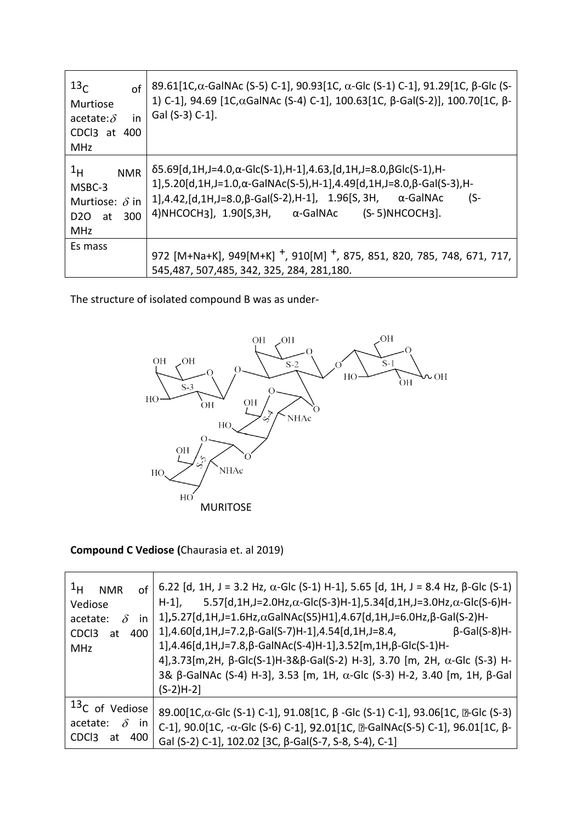| 13 <sub>C</sub><br>of<br>Murtiose<br>in<br>acetate: $\delta$<br>CDCl <sub>3</sub> at 400<br><b>MHz</b> | 89.61[1C, α-GalNAc (S-5) C-1], 90.93[1C, α-Glc (S-1) C-1], 91.29[1C, β-Glc (S-<br>1) C-1], 94.69 [1C, αGalNAc (S-4) C-1], 100.63 [1C, β-Gal(S-2)], 100.70 [1C, β-<br>Gal (S-3) C-1].                                                                                                                                                            |
|--------------------------------------------------------------------------------------------------------|-------------------------------------------------------------------------------------------------------------------------------------------------------------------------------------------------------------------------------------------------------------------------------------------------------------------------------------------------|
| $1_H$<br><b>NMR</b><br>MSBC-3<br>Murtiose: $\delta$ in<br>300<br>D2O<br>at<br><b>MHz</b>               | $\delta$ 5.69[d,1H,J=4.0, $\alpha$ -Glc(S-1),H-1],4.63,[d,1H,J=8.0, $\beta$ Glc(S-1),H-<br>$1$ ],5.20[d,1H,J=1.0, $\alpha$ -GalNAc(S-5),H-1],4.49[d,1H,J=8.0, $\beta$ -Gal(S-3),H-<br>$1$ ], 4.42, [d, 1H, J=8.0, $\beta$ -Gal(S-2), H-1], 1.96[S, 3H, $\alpha$ -GalNAc<br>$(S-$<br>4) NHCOCH3], $1.90$ [S,3H, $\alpha$ -GalNAc (S-5) NHCOCH3]. |
| Es mass                                                                                                | 972 [M+Na+K], 949[M+K] $^+$ , 910[M] $^+$ , 875, 851, 820, 785, 748, 671, 717,<br>545,487, 507,485, 342, 325, 284, 281,180.                                                                                                                                                                                                                     |

The structure of isolated compound B was as under-



## **Compound C Vediose (**Chaurasia et. al 2019)

| $1_H$<br>of<br><b>NMR</b><br>Vediose<br>$\delta$<br>acetate:<br>in<br>CDC <sub>3</sub><br>400<br>at<br><b>MHz</b> | 6.22 [d, 1H, J = 3.2 Hz, $\alpha$ -Glc (S-1) H-1], 5.65 [d, 1H, J = 8.4 Hz, $\beta$ -Glc (S-1)<br>5.57[d,1H,J=2.0Hz, $\alpha$ -Glc(S-3)H-1],5.34[d,1H,J=3.0Hz, $\alpha$ -Glc(S-6)H-<br>$H-1$ ,<br>$1$ ], 5.27[d, 1H, J=1.6Hz, $\alpha$ GalNAc(S5)H1], 4.67[d, 1H, J=6.0Hz, $\beta$ -Gal(S-2)H-<br>$1$ ], 4.60[d, 1H, J=7.2, $\beta$ -Gal(S-7)H-1], 4.54[d, 1H, J=8.4,<br>$\beta$ -Gal(S-8)H-<br>1], 4.46[d, 1H, J=7.8, β-GalNAc(S-4)H-1], 3.52[m, 1H, β-Glc(S-1)H-<br>4], 3.73[m, 2H, β-Glc(S-1)H-3&β-Gal(S-2) H-3], 3.70 [m, 2H, α-Glc (S-3) H-<br>3& β-GalNAc (S-4) H-3], 3.53 [m, 1H, α-Glc (S-3) H-2, 3.40 [m, 1H, β-Gal<br>$(S-2)H-2]$ |
|-------------------------------------------------------------------------------------------------------------------|---------------------------------------------------------------------------------------------------------------------------------------------------------------------------------------------------------------------------------------------------------------------------------------------------------------------------------------------------------------------------------------------------------------------------------------------------------------------------------------------------------------------------------------------------------------------------------------------------------------------------------------------|
| <sup>13</sup> C of Vediose<br>$\delta$<br>acetate:<br><i>in</i><br>CDC <sub>3</sub><br>400<br>at                  | 89.00[1C, α-Glc (S-1) C-1], 91.08[1C, β-Glc (S-1) C-1], 93.06[1C, <b>D-Glc (S-3)</b><br>C-1], 90.0[1C, -α-Glc (S-6) C-1], 92.01[1C, $\mathbb{D}$ -GalNAc(S-5) C-1], 96.01[1C, β-<br>Gal (S-2) C-1], 102.02 [3C, β-Gal(S-7, S-8, S-4), C-1]                                                                                                                                                                                                                                                                                                                                                                                                  |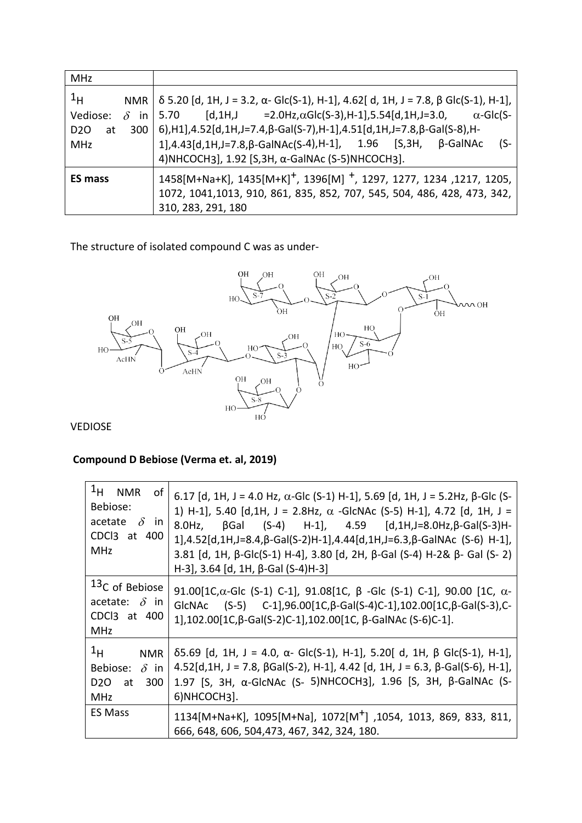| <b>MHz</b>                                                                    |                                                                                                                                                                                                                                                                                                                                                                                                                                                                                          |
|-------------------------------------------------------------------------------|------------------------------------------------------------------------------------------------------------------------------------------------------------------------------------------------------------------------------------------------------------------------------------------------------------------------------------------------------------------------------------------------------------------------------------------------------------------------------------------|
| 1 <sub>H</sub><br>Vediose:<br>$\delta$<br>at<br>D <sub>20</sub><br><b>MHz</b> | NMR $\vert$ $\delta$ 5.20 [d, 1H, J = 3.2, $\alpha$ - Glc(S-1), H-1], 4.62[d, 1H, J = 7.8, $\beta$ Glc(S-1), H-1],<br>$[d, 1H, J = 2.0Hz, \alpha Glc(S-3), H-1]$ , 5.54 $[d, 1H, J=3.0, \alpha - Glc(S-1)$<br>in   5.70<br>$300$   6), H1], 4.52[d, 1H, J=7.4, $\beta$ -Gal(S-7), H-1], 4.51[d, 1H, J=7.8, $\beta$ -Gal(S-8), H-<br>$1$ ], 4.43[d, 1H, J=7.8, $\beta$ -GalNAc(S-4), H-1], 1.96 [S, 3H,<br>$\beta$ -GalNAc<br>$(S-$<br>4) NHCOCH3], 1.92 [S, 3H, α-GalNAc (S-5) NHCOCH3]. |
| <b>ES mass</b>                                                                | 1458[M+Na+K], 1435[M+K] <sup>+</sup> , 1396[M] <sup>+</sup> , 1297, 1277, 1234, 1217, 1205,<br>1072, 1041, 1013, 910, 861, 835, 852, 707, 545, 504, 486, 428, 473, 342,<br>310, 283, 291, 180                                                                                                                                                                                                                                                                                            |

The structure of isolated compound C was as under-



VEDIOSE

## **Compound D Bebiose (Verma et. al, 2019)**

| $1_H$<br><b>NMR</b><br>οf<br>Bebiose:<br>acetate<br>$\delta$ in<br>CDCl3 at 400<br><b>MHz</b> | 6.17 [d, 1H, J = 4.0 Hz, α-Glc (S-1) H-1], 5.69 [d, 1H, J = 5.2Hz, β-Glc (S-<br>1) H-1], 5.40 [d,1H, J = 2.8Hz, $\alpha$ -GlcNAc (S-5) H-1], 4.72 [d, 1H, J =<br>$β$ Gal (S-4) H-1], 4.59 [d,1H,J=8.0Hz,β-Gal(S-3)H-<br>$8.0$ Hz,<br>$1$ ],4.52[d,1H,J=8.4, $\beta$ -Gal(S-2)H-1],4.44[d,1H,J=6.3, $\beta$ -GalNAc (S-6) H-1],<br>3.81 [d, 1H, $\beta$ -Glc(S-1) H-4], 3.80 [d, 2H, $\beta$ -Gal (S-4) H-2& $\beta$ - Gal (S-2)<br>H-3], 3.64 [d, 1H, β-Gal (S-4)H-3] |
|-----------------------------------------------------------------------------------------------|-----------------------------------------------------------------------------------------------------------------------------------------------------------------------------------------------------------------------------------------------------------------------------------------------------------------------------------------------------------------------------------------------------------------------------------------------------------------------|
| <sup>13</sup> C of Bebiose<br>acetate: $\delta$ in<br>CDCl3 at 400<br><b>MHz</b>              | 91.00[1C, $\alpha$ -Glc (S-1) C-1], 91.08[1C, $\beta$ -Glc (S-1) C-1], 90.00 [1C, $\alpha$ -<br>GICNAC $(S-5)$ C-1],96.00[1C, $\beta$ -Gal(S-4)C-1],102.00[1C, $\beta$ -Gal(S-3),C-<br>1], 102.00[1C, β-Gal(S-2)C-1], 102.00[1C, β-GalNAc (S-6)C-1].                                                                                                                                                                                                                  |
| $1_H$<br><b>NMR</b><br>Bebiose:<br>$\delta$ in<br>D <sub>2</sub> O<br><b>300</b><br>at<br>MHz | $δ5.69$ [d, 1H, J = 4.0, α- Glc(S-1), H-1], 5.20[ d, 1H, β Glc(S-1), H-1],<br>$4.52[d,1H, J = 7.8, \beta Gal(S-2), H-1], 4.42 [d, 1H, J = 6.3, \beta-Gal(S-6), H-1],$<br>1.97 [S, 3H, α-GlcNAc (S- 5)NHCOCH3], 1.96 [S, 3H, β-GalNAc (S-<br>6)NHCOCH3].                                                                                                                                                                                                               |
| <b>ES Mass</b>                                                                                | 1134[M+Na+K], 1095[M+Na], 1072[M <sup>+</sup> ], 1054, 1013, 869, 833, 811,<br>666, 648, 606, 504, 473, 467, 342, 324, 180.                                                                                                                                                                                                                                                                                                                                           |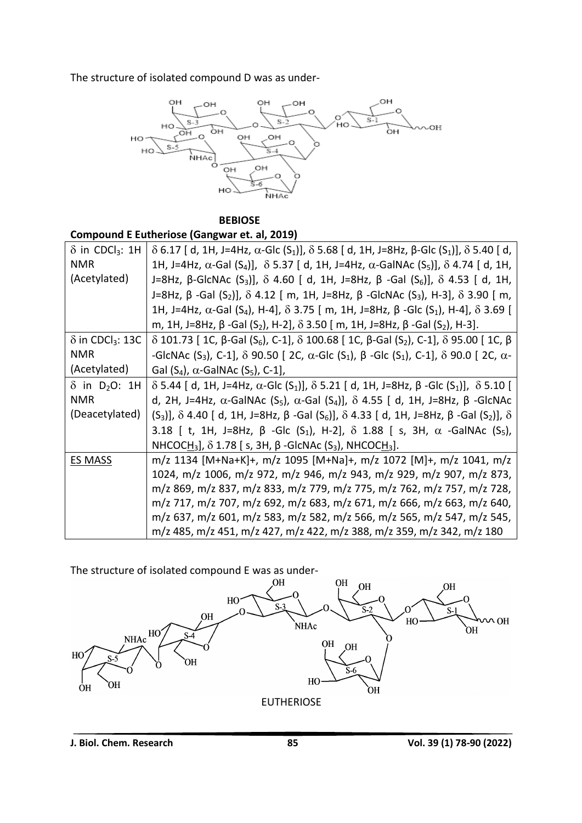The structure of isolated compound D was as under-



 **BEBIOSE**

**Compound E Eutheriose (Gangwar et. al, 2019)**

| $\delta$ in CDCl <sub>3</sub> : 1H  | $\delta$ 6.17 [ d, 1H, J=4Hz, α-Glc (S <sub>1</sub> )], $\delta$ 5.68 [ d, 1H, J=8Hz, β-Glc (S <sub>1</sub> )], $\delta$ 5.40 [ d, |
|-------------------------------------|------------------------------------------------------------------------------------------------------------------------------------|
| <b>NMR</b>                          | 1H, J=4Hz, α-Gal (S <sub>4</sub> )], δ 5.37 [ d, 1H, J=4Hz, α-GalNAc (S <sub>5</sub> )], δ 4.74 [ d, 1H,                           |
| (Acetylated)                        | J=8Hz, β-GlcNAc (S <sub>3</sub> )], δ 4.60 [ d, 1H, J=8Hz, β -Gal (S <sub>6</sub> )], δ 4.53 [ d, 1H,                              |
|                                     | J=8Hz, β -Gal (S <sub>2</sub> )], δ 4.12 [ m, 1H, J=8Hz, β -GlcNAc (S <sub>3</sub> ), H-3], δ 3.90 [ m,                            |
|                                     | 1H, J=4Hz, α-Gal (S <sub>4</sub> ), H-4], δ 3.75 [ m, 1H, J=8Hz, β -Glc (S <sub>1</sub> ), H-4], δ 3.69 [                          |
|                                     | m, 1H, J=8Hz, β -Gal (S <sub>2</sub> ), H-2], δ 3.50 [ m, 1H, J=8Hz, β -Gal (S <sub>2</sub> ), H-3].                               |
| $\delta$ in CDCl <sub>3</sub> : 13C | $\delta$ 101.73 [ 1C, β-Gal (S <sub>6</sub> ), C-1], $\delta$ 100.68 [ 1C, β-Gal (S <sub>2</sub> ), C-1], $\delta$ 95.00 [ 1C, β   |
| <b>NMR</b>                          | -GlcNAc (S <sub>3</sub> ), C-1], δ 90.50 [ 2C, α-Glc (S <sub>1</sub> ), β -Glc (S <sub>1</sub> ), C-1], δ 90.0 [ 2C, α-            |
| (Acetylated)                        | Gal $(S_4)$ , $\alpha$ -GalNAc $(S_5)$ , C-1],                                                                                     |
| $\delta$ in D <sub>2</sub> O: 1H    | $\delta$ 5.44 [ d, 1H, J=4Hz, α-Glc (S <sub>1</sub> )], $\delta$ 5.21 [ d, 1H, J=8Hz, β -Glc (S <sub>1</sub> )], $\delta$ 5.10 [   |
| <b>NMR</b>                          | d, 2H, J=4Hz, $\alpha$ -GalNAc (S <sub>5</sub> ), $\alpha$ -Gal (S <sub>4</sub> )], $\delta$ 4.55 [ d, 1H, J=8Hz, $\beta$ -GlcNAc  |
| (Deacetylated)                      | (S <sub>3</sub> )], δ 4.40 [ d, 1H, J=8Hz, β -Gal (S <sub>6</sub> )], δ 4.33 [ d, 1H, J=8Hz, β -Gal (S <sub>2</sub> )], δ          |
|                                     | 3.18 [ t, 1H, J=8Hz, $\beta$ -Glc (S <sub>1</sub> ), H-2], $\delta$ 1.88 [ s, 3H, $\alpha$ -GalNAc (S <sub>5</sub> ),              |
|                                     | NHCOCH <sub>3</sub> , $\delta$ 1.78 [s, 3H, $\beta$ -GlcNAc (S <sub>3</sub> ), NHCOCH <sub>3</sub> ].                              |
| <b>ES MASS</b>                      | m/z 1134 [M+Na+K]+, m/z 1095 [M+Na]+, m/z 1072 [M]+, m/z 1041, m/z                                                                 |
|                                     | 1024, m/z 1006, m/z 972, m/z 946, m/z 943, m/z 929, m/z 907, m/z 873,                                                              |
|                                     | m/z 869, m/z 837, m/z 833, m/z 779, m/z 775, m/z 762, m/z 757, m/z 728,                                                            |
|                                     | m/z 717, m/z 707, m/z 692, m/z 683, m/z 671, m/z 666, m/z 663, m/z 640,                                                            |
|                                     | m/z 637, m/z 601, m/z 583, m/z 582, m/z 566, m/z 565, m/z 547, m/z 545,                                                            |
|                                     | m/z 485, m/z 451, m/z 427, m/z 422, m/z 388, m/z 359, m/z 342, m/z 180                                                             |

The structure of isolated compound E was as under-<br>OH

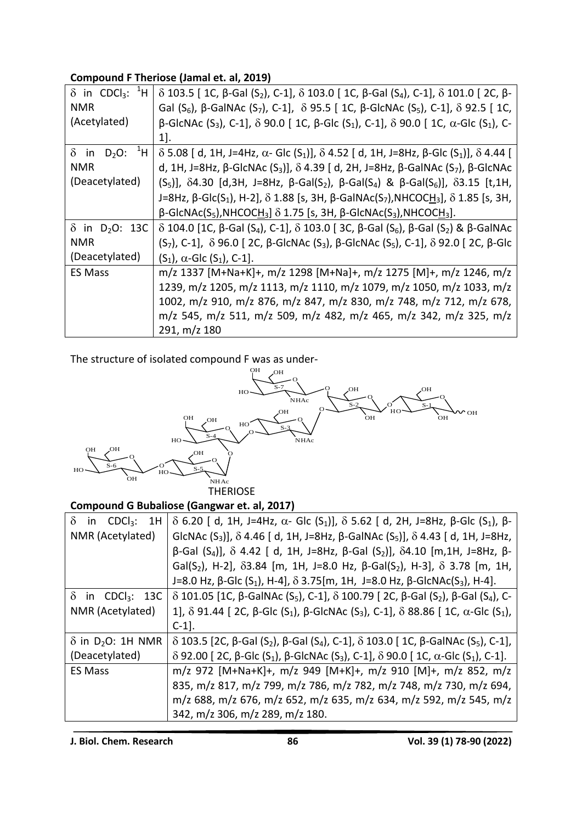## **Compound F Theriose (Jamal et. al, 2019)**

| $\delta$ in CDCl <sub>3</sub> : <sup>1</sup> H | $\delta$ 103.5 [ 1C, β-Gal (S <sub>2</sub> ), C-1], $\delta$ 103.0 [ 1C, β-Gal (S <sub>4</sub> ), C-1], $\delta$ 101.0 [ 2C, β-                      |
|------------------------------------------------|------------------------------------------------------------------------------------------------------------------------------------------------------|
| <b>NMR</b>                                     | Gal (S <sub>6</sub> ), $\beta$ -GalNAc (S <sub>7</sub> ), C-1], $\delta$ 95.5 [ 1C, $\beta$ -GlcNAc (S <sub>5</sub> ), C-1], $\delta$ 92.5 [ 1C,     |
| (Acetylated)                                   | β-GlcNAc (S <sub>3</sub> ), C-1], δ 90.0 [ 1C, β-Glc (S <sub>1</sub> ), C-1], δ 90.0 [ 1C, α-Glc (S <sub>1</sub> ), C-                               |
|                                                | $1$ .                                                                                                                                                |
| $D_2O:~^{1}H$<br>$\delta$ in                   | $\delta$ 5.08 [ d, 1H, J=4Hz, α- Glc (S <sub>1</sub> )], $\delta$ 4.52 [ d, 1H, J=8Hz, β-Glc (S <sub>1</sub> )], $\delta$ 4.44 [                     |
| <b>NMR</b>                                     | d, 1H, J=8Hz, β-GlcNAc (S <sub>3</sub> )], δ 4.39 [ d, 2H, J=8Hz, β-GalNAc (S <sub>7</sub> ), β-GlcNAc                                               |
| (Deacetylated)                                 | $(S_5)$ ], δ4.30 [d,3H, J=8Hz, β-Gal(S <sub>2</sub> ), β-Gal(S <sub>4</sub> ) & β-Gal(S <sub>6</sub> )], δ3.15 [t,1H,                                |
|                                                | J=8Hz, β-Glc(S <sub>1</sub> ), H-2], δ 1.88 [s, 3H, β-GalNAc(S <sub>7</sub> ),NHCOCH <sub>3</sub> ], δ 1.85 [s, 3H,                                  |
|                                                | $\beta$ -GlcNAc(S <sub>5</sub> ),NHCOC <u>H</u> <sub>3</sub> ] $\delta$ 1.75 [s, 3H, $\beta$ -GlcNAc(S <sub>3</sub> ),NHCOC <u>H</u> <sub>3</sub> ]. |
| $\delta$ in D <sub>2</sub> O: 13C              | $\delta$ 104.0 [1C, β-Gal (S <sub>4</sub> ), C-1], $\delta$ 103.0 [3C, β-Gal (S <sub>6</sub> ), β-Gal (S <sub>2</sub> ) & β-GalNAc                   |
| <b>NMR</b>                                     | $(S_7)$ , C-1], δ 96.0 [2C, β-GlcNAc (S <sub>3</sub> ), β-GlcNAc (S <sub>5</sub> ), C-1], δ 92.0 [2C, β-Glc                                          |
| (Deacetylated)                                 | $(S_1)$ , $\alpha$ -Glc $(S_1)$ , C-1].                                                                                                              |
| <b>ES Mass</b>                                 | m/z 1337 [M+Na+K]+, m/z 1298 [M+Na]+, m/z 1275 [M]+, m/z 1246, m/z                                                                                   |
|                                                | 1239, m/z 1205, m/z 1113, m/z 1110, m/z 1079, m/z 1050, m/z 1033, m/z                                                                                |
|                                                | 1002, m/z 910, m/z 876, m/z 847, m/z 830, m/z 748, m/z 712, m/z 678,                                                                                 |
|                                                | m/z 545, m/z 511, m/z 509, m/z 482, m/z 465, m/z 342, m/z 325, m/z                                                                                   |
|                                                | 291, m/z 180                                                                                                                                         |

The structure of isolated compound F was as under-



#### **Compound G Bubaliose (Gangwar et. al, 2017)**

| $\delta$<br>in $CDCl3: 1H$           | δ 6.20 [ d, 1H, J=4Hz, α- Glc (S <sub>1</sub> )], δ 5.62 [ d, 2H, J=8Hz, β-Glc (S <sub>1</sub> ), β-                               |
|--------------------------------------|------------------------------------------------------------------------------------------------------------------------------------|
| NMR (Acetylated)                     | GlcNAc $(S_3)$ ], $\delta$ 4.46 [d, 1H, J=8Hz, $\beta$ -GalNAc $(S_5)$ ], $\delta$ 4.43 [d, 1H, J=8Hz,                             |
|                                      | $\beta$ -Gal (S <sub>4</sub> )], δ 4.42 [ d, 1H, J=8Hz, β-Gal (S <sub>2</sub> )], δ4.10 [m,1H, J=8Hz, β-                           |
|                                      | Gal(S <sub>2</sub> ), H-2], $\delta$ 3.84 [m, 1H, J=8.0 Hz, $\beta$ -Gal(S <sub>2</sub> ), H-3], $\delta$ 3.78 [m, 1H,             |
|                                      | J=8.0 Hz, β-Glc (S <sub>1</sub> ), H-4], δ 3.75[m, 1H, J=8.0 Hz, β-GlcNAc(S <sub>3</sub> ), H-4].                                  |
| $\delta$ in CDCl <sub>3</sub> : 13C  | $\delta$ 101.05 [1C, β-GalNAc (S <sub>5</sub> ), C-1], $\delta$ 100.79 [2C, β-Gal (S <sub>2</sub> ), β-Gal (S <sub>4</sub> ), C-   |
| NMR (Acetylated)                     | 1], δ 91.44 [ 2C, β-Glc (S <sub>1</sub> ), β-GlcNAc (S <sub>3</sub> ), C-1], δ 88.86 [ 1C, α-Glc (S <sub>1</sub> ),                |
|                                      | $C-1$ .                                                                                                                            |
| $\delta$ in D <sub>2</sub> O: 1H NMR | $\delta$ 103.5 [2C, β-Gal (S <sub>2</sub> ), β-Gal (S <sub>4</sub> ), C-1], $\delta$ 103.0 [ 1C, β-GalNAc (S <sub>5</sub> ), C-1], |
| (Deacetylated)                       | $\delta$ 92.00 [2C, β-Glc (S <sub>1</sub> ), β-GlcNAc (S <sub>3</sub> ), C-1], $\delta$ 90.0 [1C, α-Glc (S <sub>1</sub> ), C-1].   |
| <b>ES Mass</b>                       | m/z 972 [M+Na+K]+, m/z 949 [M+K]+, m/z 910 [M]+, m/z 852, m/z                                                                      |
|                                      | 835, m/z 817, m/z 799, m/z 786, m/z 782, m/z 748, m/z 730, m/z 694,                                                                |
|                                      | m/z 688, m/z 676, m/z 652, m/z 635, m/z 634, m/z 592, m/z 545, m/z                                                                 |
|                                      | 342, m/z 306, m/z 289, m/z 180.                                                                                                    |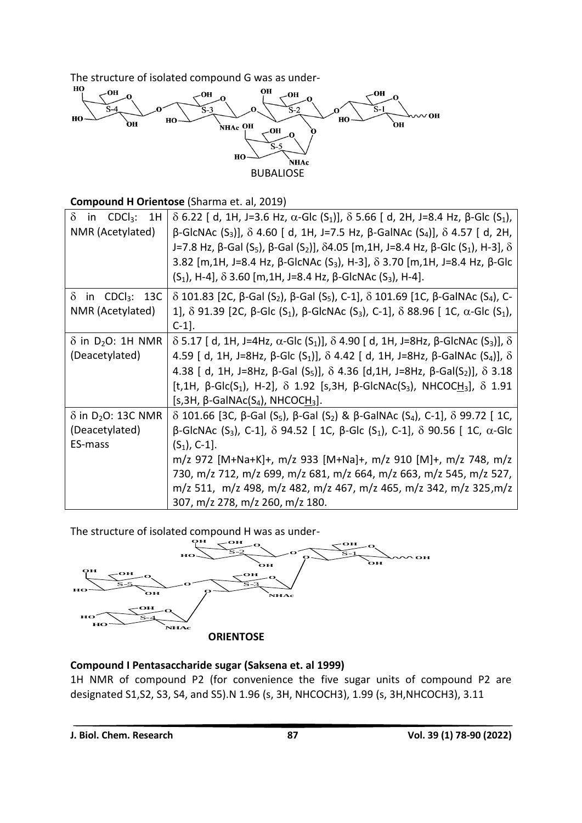The structure of isolated compound G was as under-<br> $\frac{dP}{dt}$ 



#### **Compound H Orientose** (Sharma et. al, 2019)

| $\delta$<br>CDCl <sub>3</sub> :<br>1H<br>in | $\delta$ 6.22 [ d, 1H, J=3.6 Hz, α-Glc (S <sub>1</sub> )], $\delta$ 5.66 [ d, 2H, J=8.4 Hz, β-Glc (S <sub>1</sub> ),             |
|---------------------------------------------|----------------------------------------------------------------------------------------------------------------------------------|
| NMR (Acetylated)                            | $\beta$ -GlcNAc (S <sub>3</sub> )], δ 4.60 [ d, 1H, J=7.5 Hz, β-GalNAc (S <sub>4</sub> )], δ 4.57 [ d, 2H,                       |
|                                             | J=7.8 Hz, β-Gal (S <sub>5</sub> ), β-Gal (S <sub>2</sub> )], δ4.05 [m,1H, J=8.4 Hz, β-Glc (S <sub>1</sub> ), H-3], δ             |
|                                             | 3.82 [m,1H, J=8.4 Hz, β-GlcNAc (S <sub>3</sub> ), H-3], δ 3.70 [m,1H, J=8.4 Hz, β-Glc                                            |
|                                             | $(S_1)$ , H-4], δ 3.60 [m, 1H, J=8.4 Hz, β-GlcNAc $(S_3)$ , H-4].                                                                |
| $\delta$<br>in $CDCl3: 13C$                 | $\delta$ 101.83 [2C, β-Gal (S <sub>2</sub> ), β-Gal (S <sub>5</sub> ), C-1], $\delta$ 101.69 [1C, β-GalNAc (S <sub>4</sub> ), C- |
| NMR (Acetylated)                            | 1], δ 91.39 [2C, β-Glc (S <sub>1</sub> ), β-GlcNAc (S <sub>3</sub> ), C-1], δ 88.96 [ 1C, α-Glc (S <sub>1</sub> ),               |
|                                             | $C-1$ ].                                                                                                                         |
| $\delta$ in D <sub>2</sub> O: 1H NMR        | $\delta$ 5.17 [ d, 1H, J=4Hz, α-Glc (S <sub>1</sub> )], $\delta$ 4.90 [ d, 1H, J=8Hz, β-GlcNAc (S <sub>3</sub> )], $\delta$      |
| (Deacetylated)                              | 4.59 [ d, 1H, J=8Hz, β-Glc (S <sub>1</sub> )], δ 4.42 [ d, 1H, J=8Hz, β-GalNAc (S <sub>4</sub> )], δ                             |
|                                             | 4.38 [ d, 1H, J=8Hz, $\beta$ -Gal (S <sub>5</sub> )], $\delta$ 4.36 [d,1H, J=8Hz, $\beta$ -Gal(S <sub>2</sub> )], $\delta$ 3.18  |
|                                             | [t,1H, β-Glc(S <sub>1</sub> ), H-2], δ 1.92 [s,3H, β-GlcNAc(S <sub>3</sub> ), NHCOCH <sub>3</sub> ], δ 1.91                      |
|                                             | [s,3H, $\beta$ -GalNAc(S <sub>4</sub> ), NHCOCH <sub>3</sub> ].                                                                  |
| $\delta$ in D <sub>2</sub> O: 13C NMR       | $\delta$ 101.66 [3C, β-Gal (S <sub>5</sub> ), β-Gal (S <sub>2</sub> ) & β-GalNAc (S <sub>4</sub> ), C-1], $\delta$ 99.72 [ 1C,   |
| (Deacetylated)                              | β-GICNAC (S <sub>3</sub> ), C-1], δ 94.52 [ 1C, β-GIc (S <sub>1</sub> ), C-1], δ 90.56 [ 1C, α-GIc                               |
| ES-mass                                     | $(S_1)$ , C-1].                                                                                                                  |
|                                             | m/z 972 [M+Na+K]+, m/z 933 [M+Na]+, m/z 910 [M]+, m/z 748, m/z                                                                   |
|                                             | 730, m/z 712, m/z 699, m/z 681, m/z 664, m/z 663, m/z 545, m/z 527,                                                              |
|                                             | m/z 511, m/z 498, m/z 482, m/z 467, m/z 465, m/z 342, m/z 325, m/z                                                               |
|                                             | 307, m/z 278, m/z 260, m/z 180.                                                                                                  |

The structure of isolated compound H was as under-<br>CH<sub>RH</sub>OH



#### **Compound I Pentasaccharide sugar (Saksena et. al 1999)**

1H NMR of compound P2 (for convenience the five sugar units of compound P2 are designated S1,S2, S3, S4, and S5).N 1.96 (s, 3H, NHCOCH3), 1.99 (s, 3H,NHCOCH3), 3.11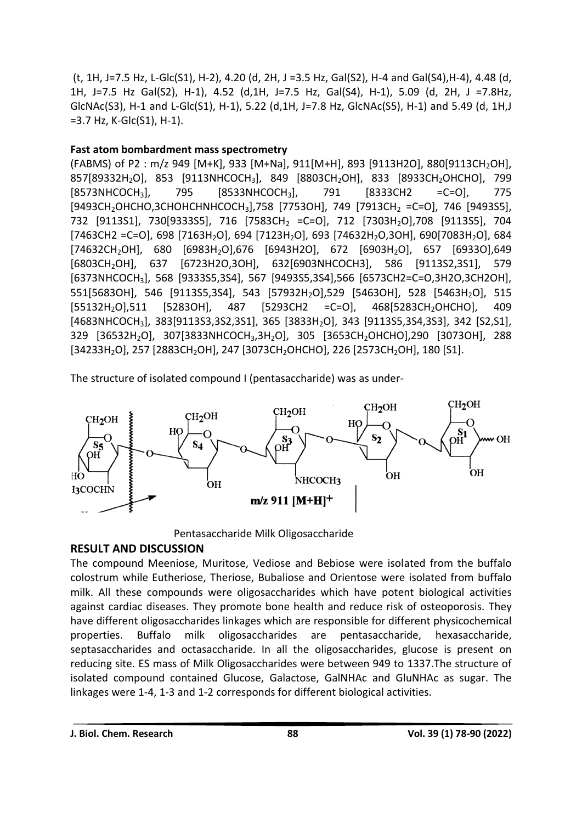(t, 1H, J=7.5 Hz, L-Glc(S1), H-2), 4.20 (d, 2H, J =3.5 Hz, Gal(S2), H-4 and Gal(S4),H-4), 4.48 (d, 1H, J=7.5 Hz Gal(S2), H-1), 4.52 (d,1H, J=7.5 Hz, Gal(S4), H-1), 5.09 (d, 2H, J =7.8Hz, GlcNAc(S3), H-1 and L-Glc(S1), H-1), 5.22 (d,1H, J=7.8 Hz, GlcNAc(S5), H-1) and 5.49 (d, 1H,J =3.7 Hz, K-Glc(S1), H-1).

#### **Fast atom bombardment mass spectrometry**

(FABMS) of P2: m/z 949 [M+K], 933 [M+Na], 911[M+H], 893 [9113H2O], 880[9113CH<sub>2</sub>OH], 857[89332H2O], 853 [9113NHCOCH3], 849 [8803CH2OH], 833 [8933CH2OHCHO], 799 [8573NHCOCH<sub>3</sub>], 795 [8533NHCOCH<sub>3</sub>], 791 [8333CH2 =C=O], 775 [9493CH<sub>2</sub>OHCHO,3CHOHCHNHCOCH<sub>3</sub>],758 [7753OH], 749 [7913CH<sub>2</sub> =C=O], 746 [9493S5], 732 [9113S1], 730[9333S5], 716 [7583CH<sub>2</sub> =C=O], 712 [7303H<sub>2</sub>O],708 [9113S5], 704 [7463CH2 =C=O], 698 [7163H<sub>2</sub>O], 694 [7123H<sub>2</sub>O], 693 [74632H<sub>2</sub>O,3OH], 690[7083H<sub>2</sub>O], 684  $[74632CH_2OH]$ , 680  $[6983H_2O]$ ,676  $[6943H2O]$ , 672  $[6903H_2O]$ , 657  $[6933O]$ ,649 [6803CH2OH], 637 [6723H2O,3OH], 632[6903NHCOCH3], 586 [9113S2,3S1], 579 [6373NHCOCH3], 568 [9333S5,3S4], 567 [9493S5,3S4],566 [6573CH2=C=O,3H2O,3CH2OH], 551[5683OH], 546 [9113S5,3S4], 543 [57932H2O],529 [5463OH], 528 [5463H2O], 515 [55132H<sub>2</sub>O],511 [5283OH], 487 [5293CH2 =C=O], 468[5283CH<sub>2</sub>OHCHO], 409 [4683NHCOCH<sub>3</sub>], 383[9113S3,3S2,3S1], 365 [3833H<sub>2</sub>O], 343 [9113S5,3S4,3S3], 342 [S2,S1], 329 [36532H2O], 307[3833NHCOCH3,3H2O], 305 [3653CH2OHCHO],290 [3073OH], 288 [34233H<sub>2</sub>O], 257 [2883CH<sub>2</sub>OH], 247 [3073CH<sub>2</sub>OHCHO], 226 [2573CH<sub>2</sub>OH], 180 [S1].

The structure of isolated compound I (pentasaccharide) was as under-



Pentasaccharide Milk Oligosaccharide

### **RESULT AND DISCUSSION**

The compound Meeniose, Muritose, Vediose and Bebiose were isolated from the buffalo colostrum while Eutheriose, Theriose, Bubaliose and Orientose were isolated from buffalo milk. All these compounds were oligosaccharides which have potent biological activities against cardiac diseases. They promote bone health and reduce risk of osteoporosis. They have different oligosaccharides linkages which are responsible for different physicochemical properties. Buffalo milk oligosaccharides are pentasaccharide, hexasaccharide, septasaccharides and octasaccharide. In all the oligosaccharides, glucose is present on reducing site. ES mass of Milk Oligosaccharides were between 949 to 1337.The structure of isolated compound contained Glucose, Galactose, GalNHAc and GluNHAc as sugar. The linkages were 1-4, 1-3 and 1-2 corresponds for different biological activities.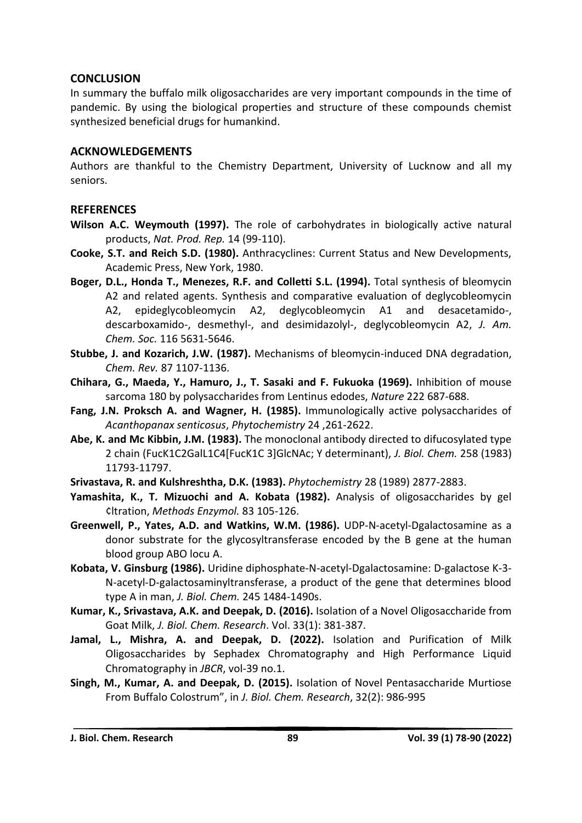#### **CONCLUSION**

In summary the buffalo milk oligosaccharides are very important compounds in the time of pandemic. By using the biological properties and structure of these compounds chemist synthesized beneficial drugs for humankind.

#### **ACKNOWLEDGEMENTS**

Authors are thankful to the Chemistry Department, University of Lucknow and all my seniors.

#### **REFERENCES**

- **Wilson A.C. Weymouth (1997).** The role of carbohydrates in biologically active natural products, *Nat. Prod. Rep.* 14 (99-110).
- **Cooke, S.T. and Reich S.D. (1980).** Anthracyclines: Current Status and New Developments, Academic Press, New York, 1980.
- **Boger, D.L., Honda T., Menezes, R.F. and Colletti S.L. (1994).** Total synthesis of bleomycin A2 and related agents. Synthesis and comparative evaluation of deglycobleomycin A2, epideglycobleomycin A2, deglycobleomycin A1 and desacetamido-, descarboxamido-, desmethyl-, and desimidazolyl-, deglycobleomycin A2, *J. Am. Chem. Soc.* 116 5631-5646.
- **Stubbe, J. and Kozarich, J.W. (1987).** Mechanisms of bleomycin-induced DNA degradation, *Chem. Rev.* 87 1107-1136.
- **Chihara, G., Maeda, Y., Hamuro, J., T. Sasaki and F. Fukuoka (1969).** Inhibition of mouse sarcoma 180 by polysaccharides from Lentinus edodes, *Nature* 222 687-688.
- **Fang, J.N. Proksch A. and Wagner, H. (1985).** Immunologically active polysaccharides of *Acanthopanax senticosus*, *Phytochemistry* 24 ,261-2622.
- **Abe, K. and Mc Kibbin, J.M. (1983).** The monoclonal antibody directed to difucosylated type 2 chain (FucK1C2GalL1C4[FucK1C 3]GlcNAc; Y determinant), *J. Biol. Chem.* 258 (1983) 11793-11797.
- **Srivastava, R. and Kulshreshtha, D.K. (1983).** *Phytochemistry* 28 (1989) 2877-2883.
- **Yamashita, K., T. Mizuochi and A. Kobata (1982).** Analysis of oligosaccharides by gel ¢ltration, *Methods Enzymol.* 83 105-126.
- **Greenwell, P., Yates, A.D. and Watkins, W.M. (1986).** UDP-N-acetyl-Dgalactosamine as a donor substrate for the glycosyltransferase encoded by the B gene at the human blood group ABO locu A.
- **Kobata, V. Ginsburg (1986).** Uridine diphosphate-N-acetyl-Dgalactosamine: D-galactose K-3- N-acetyl-D-galactosaminyltransferase, a product of the gene that determines blood type A in man, *J. Biol. Chem.* 245 1484-1490s.
- **Kumar, K., Srivastava, A.K. and Deepak, D. (2016).** Isolation of a Novel Oligosaccharide from Goat Milk, *J. Biol. Chem. Research*. Vol. 33(1): 381-387.
- **Jamal, L., Mishra, A. and Deepak, D. (2022).** Isolation and Purification of Milk Oligosaccharides by Sephadex Chromatography and High Performance Liquid Chromatography in *JBCR*, vol-39 no.1.
- **Singh, M., Kumar, A. and Deepak, D. (2015).** Isolation of Novel Pentasaccharide Murtiose From Buffalo Colostrum", in *J. Biol. Chem. Research*, 32(2): 986-995